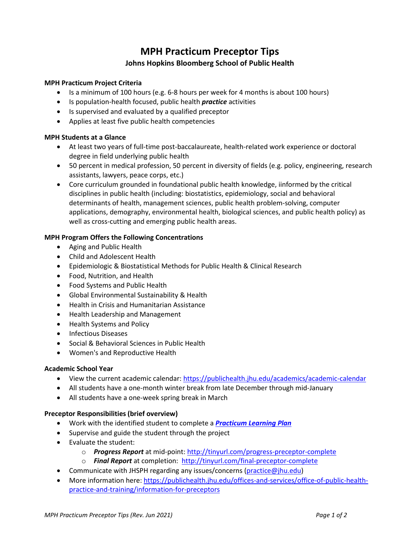# **MPH Practicum Preceptor Tips Johns Hopkins Bloomberg School of Public Health**

## **MPH Practicum Project Criteria**

- Is a minimum of 100 hours (e.g. 6-8 hours per week for 4 months is about 100 hours)
- Is population-health focused, public health *practice* activities
- Is supervised and evaluated by a qualified preceptor
- Applies at least five public health competencies

## **MPH Students at a Glance**

- At least two years of full-time post-baccalaureate, health-related work experience or doctoral degree in field underlying public health
- 50 percent in medical profession, 50 percent in diversity of fields (e.g. policy, engineering, research assistants, lawyers, peace corps, etc.)
- Core curriculum grounded in foundational public health knowledge, iinformed by the critical disciplines in public health (including: biostatistics, epidemiology, social and behavioral determinants of health, management sciences, public health problem-solving, computer applications, demography, environmental health, biological sciences, and public health policy) as well as cross-cutting and emerging public health areas.

## **MPH Program Offers the Following Concentrations**

- Aging and Public Health
- Child and Adolescent Health
- Epidemiologic & Biostatistical Methods for Public Health & Clinical Research
- Food, Nutrition, and Health
- Food Systems and Public Health
- Global Environmental Sustainability & Health
- Health in Crisis and Humanitarian Assistance
- Health Leadership and Management
- Health Systems and Policy
- Infectious Diseases
- Social & Behavioral Sciences in Public Health
- Women's and Reproductive Health

## **Academic School Year**

- View the current academic calendar:<https://publichealth.jhu.edu/academics/academic-calendar>
- All students have a one-month winter break from late December through mid-January
- All students have a one-week spring break in March

## **Preceptor Responsibilities (brief overview)**

- Work with the identified student to complete a *[Practicum Learning Plan](https://jhsph.co1.qualtrics.com/jfe/form/SV_8puWUFRd0UnGpIV)*
- Supervise and guide the student through the project
- Evaluate the student:
	- o *Progress Report* at mid-point:<http://tinyurl.com/progress-preceptor-complete>
	- o *Final Report* at completion: <http://tinyurl.com/final-preceptor-complete>
- Communicate with JHSPH regarding any issues/concerns [\(practice@jhu.edu\)](mailto:practice@jhu.edu)
- More information here[: https://publichealth.jhu.edu/offices-and-services/office-of-public-health](https://publichealth.jhu.edu/offices-and-services/office-of-public-health-practice-and-training/information-for-preceptors)[practice-and-training/information-for-preceptors](https://publichealth.jhu.edu/offices-and-services/office-of-public-health-practice-and-training/information-for-preceptors)